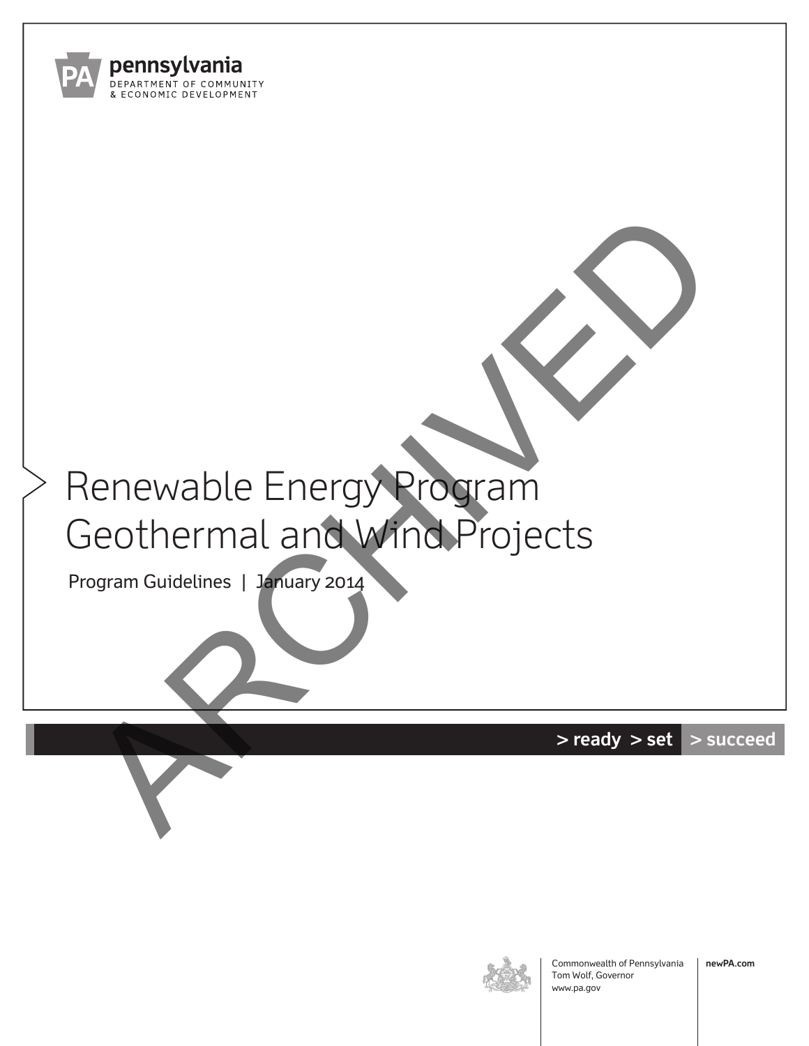

# Renewable Energy Program Geothermal and Wind Projects Renewable Energy Program<br>Seothermal and Wind Projects

Program Guidelines | January 2014

**> ready > set > succeed**



Commonwealth of Pennsylvania Tom Wolf, Governor www.pa.gov

**newPA.com**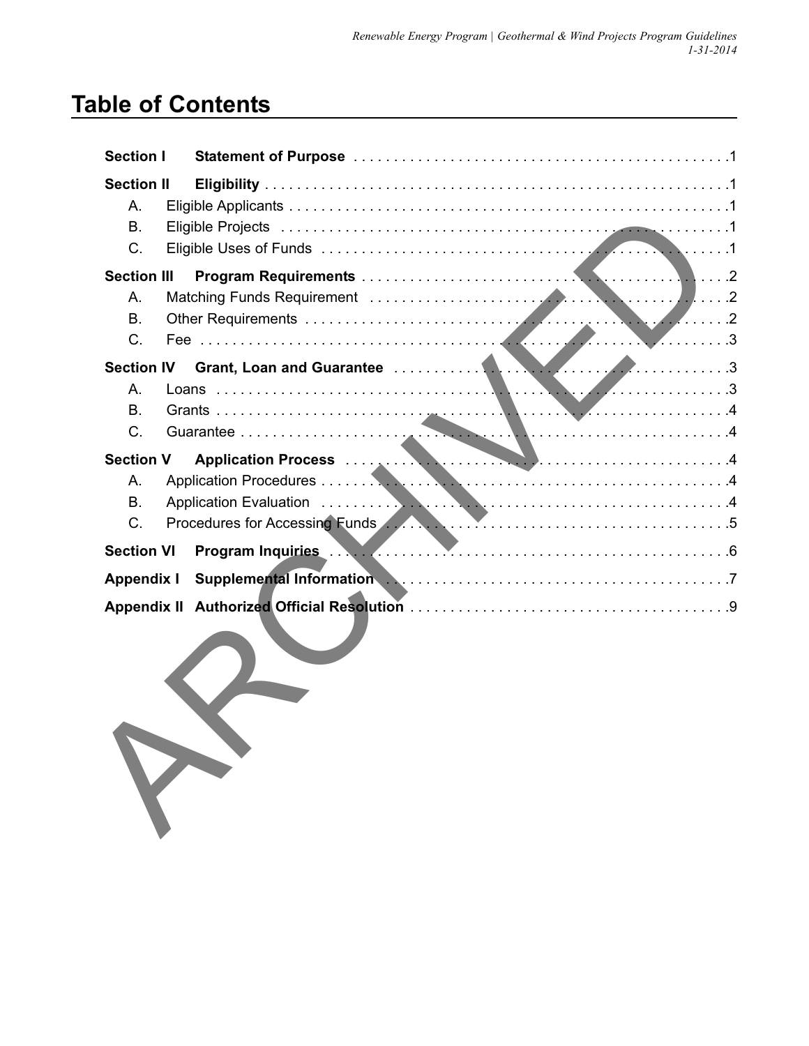# **Table of Contents**

| Section I          |                                                                                         |  |  |  |  |
|--------------------|-----------------------------------------------------------------------------------------|--|--|--|--|
| <b>Section II</b>  |                                                                                         |  |  |  |  |
| $A_{1}$            |                                                                                         |  |  |  |  |
| <b>B.</b>          |                                                                                         |  |  |  |  |
| C.                 |                                                                                         |  |  |  |  |
| <b>Section III</b> |                                                                                         |  |  |  |  |
| $A_{1}$            |                                                                                         |  |  |  |  |
| Β.                 |                                                                                         |  |  |  |  |
| $C$ .              |                                                                                         |  |  |  |  |
|                    |                                                                                         |  |  |  |  |
| Α.                 |                                                                                         |  |  |  |  |
| <b>B.</b>          |                                                                                         |  |  |  |  |
| $C$ .              |                                                                                         |  |  |  |  |
| <b>Section V</b>   | Application Process                                                                     |  |  |  |  |
| Α.                 |                                                                                         |  |  |  |  |
| <b>B.</b>          |                                                                                         |  |  |  |  |
| C.                 | Procedures for Accessing Funds <b>Alexander Manual Accession Strutt Accessing Funds</b> |  |  |  |  |
| <b>Section VI</b>  |                                                                                         |  |  |  |  |
| <b>Appendix I</b>  |                                                                                         |  |  |  |  |
|                    |                                                                                         |  |  |  |  |

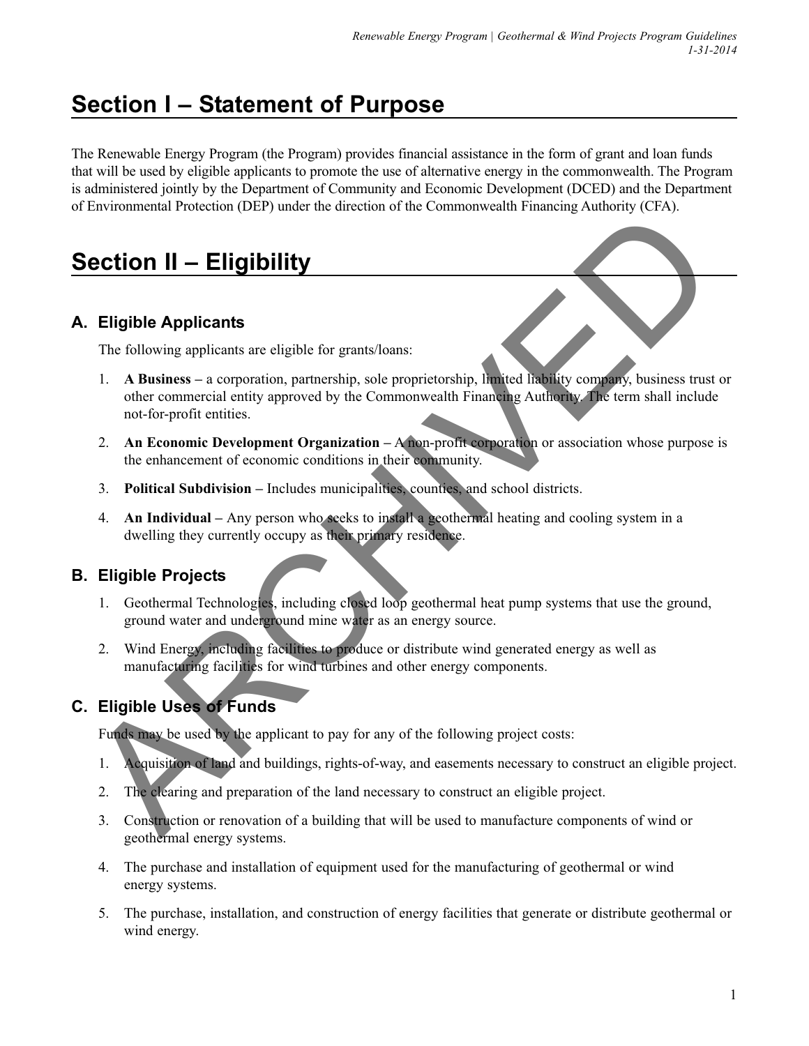# **Section I – Statement of Purpose**

The Renewable Energy Program (the Program) provides financial assistance in the form of grant and loan funds that will be used by eligible applicants to promote the use of alternative energy in the commonwealth. The Program is administered jointly by the Department of Community and Economic Development (DCED) and the Department of Environmental Protection (DEP) under the direction of the Commonwealth Financing Authority (CFA).

# **Section II – Eligibility**

## **A. Eligible Applicants**

The following applicants are eligible for grants/loans:

- 1. **A Business –** a corporation, partnership, sole proprietorship, limited liability company, business trust or other commercial entity approved by the Commonwealth Financing Authority. The term shall include not-for-profit entities. **Etigible Applicants**<br> **ARCHIVED Applicants**<br>
The following applicants are eligible for granus/loans:<br>
1. A Musines - a conporation, partnership, sole proprietership, then<br>
other commercial entity opproved by the Commonwe
	- 2. **An Economic Development Organization –** A non-profit corporation or association whose purpose is the enhancement of economic conditions in their community.
	- 3. **Political Subdivision –** Includes municipalities, counties, and school districts.
	- 4. **An Individual** Any person who seeks to install a geothermal heating and cooling system in a dwelling they currently occupy as their primary residence.

## **B. Eligible Projects**

- 1. Geothermal Technologies, including closed loop geothermal heat pump systems that use the ground, ground water and underground mine water as an energy source.
- 2. Wind Energy, including facilities to produce or distribute wind generated energy as well as manufacturing facilities for wind turbines and other energy components.

## **C. Eligible Uses of Funds**

Funds may be used by the applicant to pay for any of the following project costs:

- 1. Acquisition of land and buildings, rights-of-way, and easements necessary to construct an eligible project.
- 2. The clearing and preparation of the land necessary to construct an eligible project.
- 3. Construction or renovation of a building that will be used to manufacture components of wind or geothermal energy systems.
- 4. The purchase and installation of equipment used for the manufacturing of geothermal or wind energy systems.
- 5. The purchase, installation, and construction of energy facilities that generate or distribute geothermal or wind energy.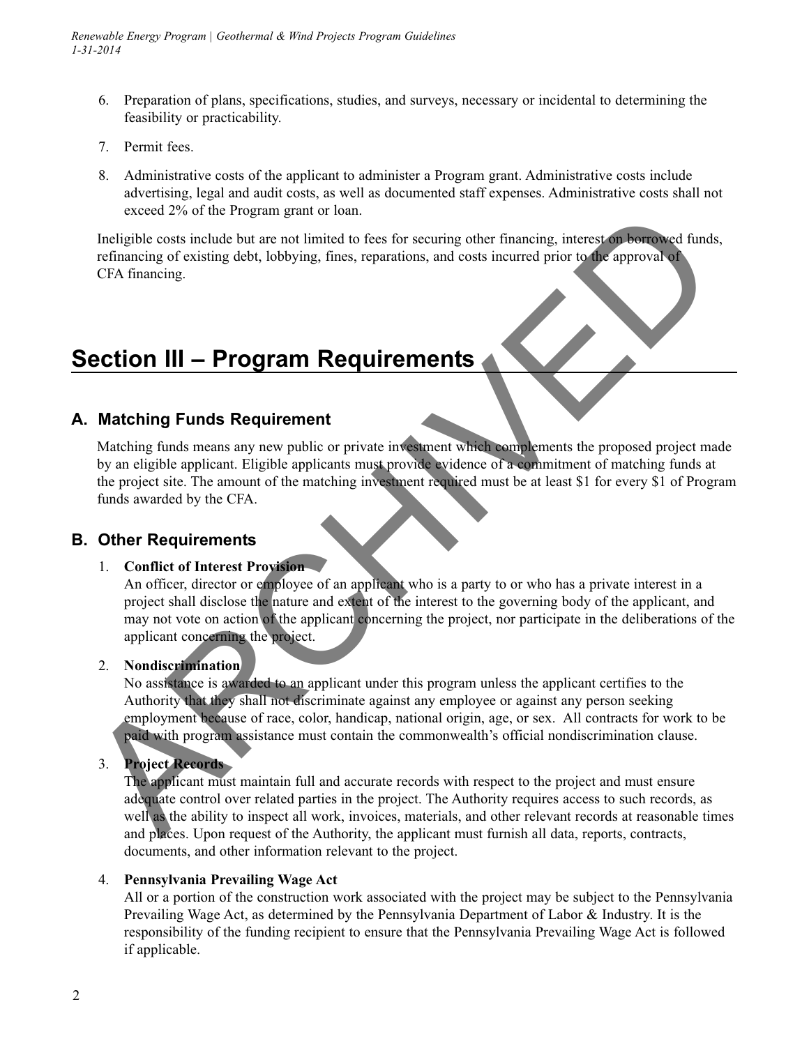- 6. Preparation of plans, specifications, studies, and surveys, necessary or incidental to determining the feasibility or practicability.
- 7. Permit fees.
- 8. Administrative costs of the applicant to administer a Program grant. Administrative costs include advertising, legal and audit costs, as well as documented staff expenses. Administrative costs shall not exceed 2% of the Program grant or loan.

Ineligible costs include but are not limited to fees for securing other financing, interest on borrowed funds, refinancing of existing debt, lobbying, fines, reparations, and costs incurred prior to the approval of CFA financing.

# **Section III – Program Requirements**

## **A. Matching Funds Requirement**

Matching funds means any new public or private investment which complements the proposed project made by an eligible applicant. Eligible applicants must provide evidence of a commitment of matching funds at the project site. The amount of the matching investment required must be at least \$1 for every \$1 of Program funds awarded by the CFA. exceed 2% of the irregian grant of ional<br>
Indigible costs including the function of the menti limited to five scenarios, and costs incurred prior to the approval of<br>
Leftimating for existing debt, lobbying, fines, reparat

#### **B. Other Requirements**

#### 1. **Conflict of Interest Provision**

An officer, director or employee of an applicant who is a party to or who has a private interest in a project shall disclose the nature and extent of the interest to the governing body of the applicant, and may not vote on action of the applicant concerning the project, nor participate in the deliberations of the applicant concerning the project.

#### 2. **Nondiscrimination**

No assistance is awarded to an applicant under this program unless the applicant certifies to the Authority that they shall not discriminate against any employee or against any person seeking employment because of race, color, handicap, national origin, age, or sex. All contracts for work to be paid with program assistance must contain the commonwealth's official nondiscrimination clause.

#### 3. **Project Records**

The applicant must maintain full and accurate records with respect to the project and must ensure adequate control over related parties in the project. The Authority requires access to such records, as well as the ability to inspect all work, invoices, materials, and other relevant records at reasonable times and places. Upon request of the Authority, the applicant must furnish all data, reports, contracts, documents, and other information relevant to the project.

#### 4. **Pennsylvania Prevailing Wage Act**

All or a portion of the construction work associated with the project may be subject to the Pennsylvania Prevailing Wage Act, as determined by the Pennsylvania Department of Labor & Industry. It is the responsibility of the funding recipient to ensure that the Pennsylvania Prevailing Wage Act is followed if applicable.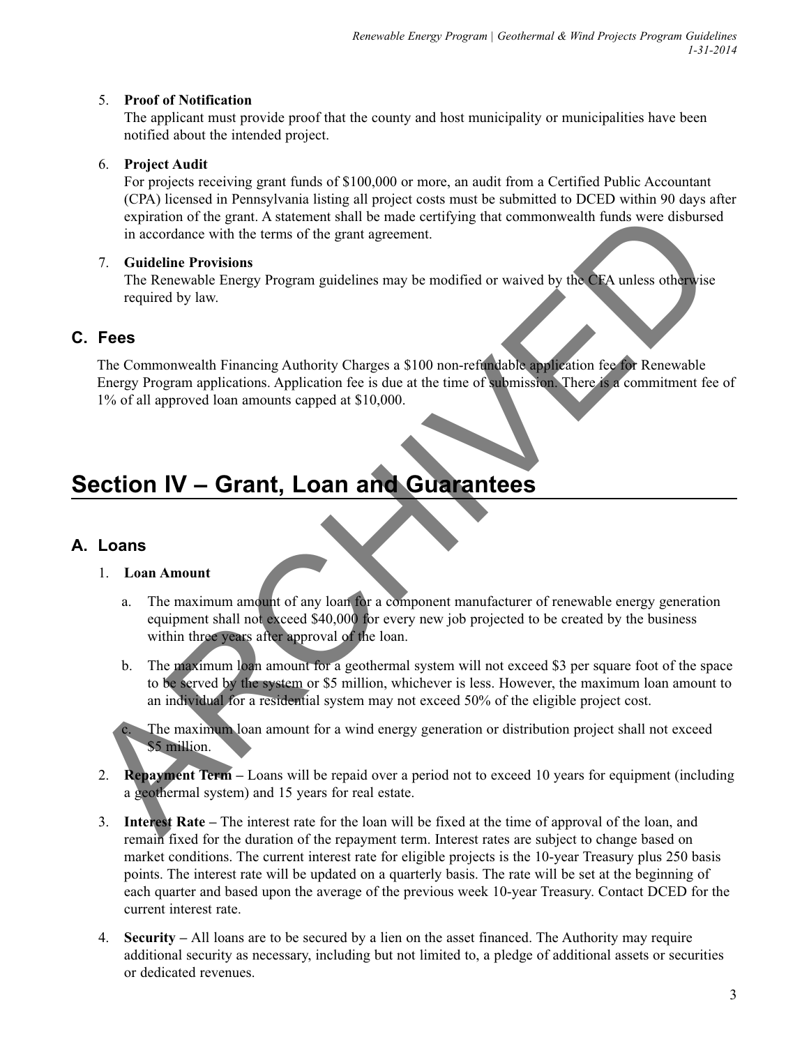#### 5. **Proof of Notification**

The applicant must provide proof that the county and host municipality or municipalities have been notified about the intended project.

#### 6. **Project Audit**

For projects receiving grant funds of \$100,000 or more, an audit from a Certified Public Accountant (CPA) licensed in Pennsylvania listing all project costs must be submitted to DCED within 90 days after expiration of the grant. A statement shall be made certifying that commonwealth funds were disbursed in accordance with the terms of the grant agreement.

#### 7. **Guideline Provisions**

The Renewable Energy Program guidelines may be modified or waived by the CFA unless otherwise required by law.

#### **C. Fees**

The Commonwealth Financing Authority Charges a \$100 non-refundable application fee for Renewable Energy Program applications. Application fee is due at the time of submission. There is a commitment fee of 1% of all approved loan amounts capped at \$10,000. experiation of the grant A statement shall be made certifying that commonwealth funds were disburse<br>
in accordance with the terms of the grant agreement.<br>
7. **Guideline Provisions**<br>
The Renewable Energy Program guidelines

# **Section IV – Grant, Loan and Guarantees**

#### **A. Loans**

#### 1. **Loan Amount**

- a. The maximum amount of any loan for a component manufacturer of renewable energy generation equipment shall not exceed \$40,000 for every new job projected to be created by the business within three years after approval of the loan.
- b. The maximum loan amount for a geothermal system will not exceed \$3 per square foot of the space to be served by the system or \$5 million, whichever is less. However, the maximum loan amount to an individual for a residential system may not exceed 50% of the eligible project cost.

The maximum loan amount for a wind energy generation or distribution project shall not exceed \$5 million.

- 2. **Repayment Term –** Loans will be repaid over a period not to exceed 10 years for equipment (including a geothermal system) and 15 years for real estate.
- 3. **Interest Rate –** The interest rate for the loan will be fixed at the time of approval of the loan, and remain fixed for the duration of the repayment term. Interest rates are subject to change based on market conditions. The current interest rate for eligible projects is the 10-year Treasury plus 250 basis points. The interest rate will be updated on a quarterly basis. The rate will be set at the beginning of each quarter and based upon the average of the previous week 10-year Treasury. Contact DCED for the current interest rate.
- 4. **Security** All loans are to be secured by a lien on the asset financed. The Authority may require additional security as necessary, including but not limited to, a pledge of additional assets or securities or dedicated revenues.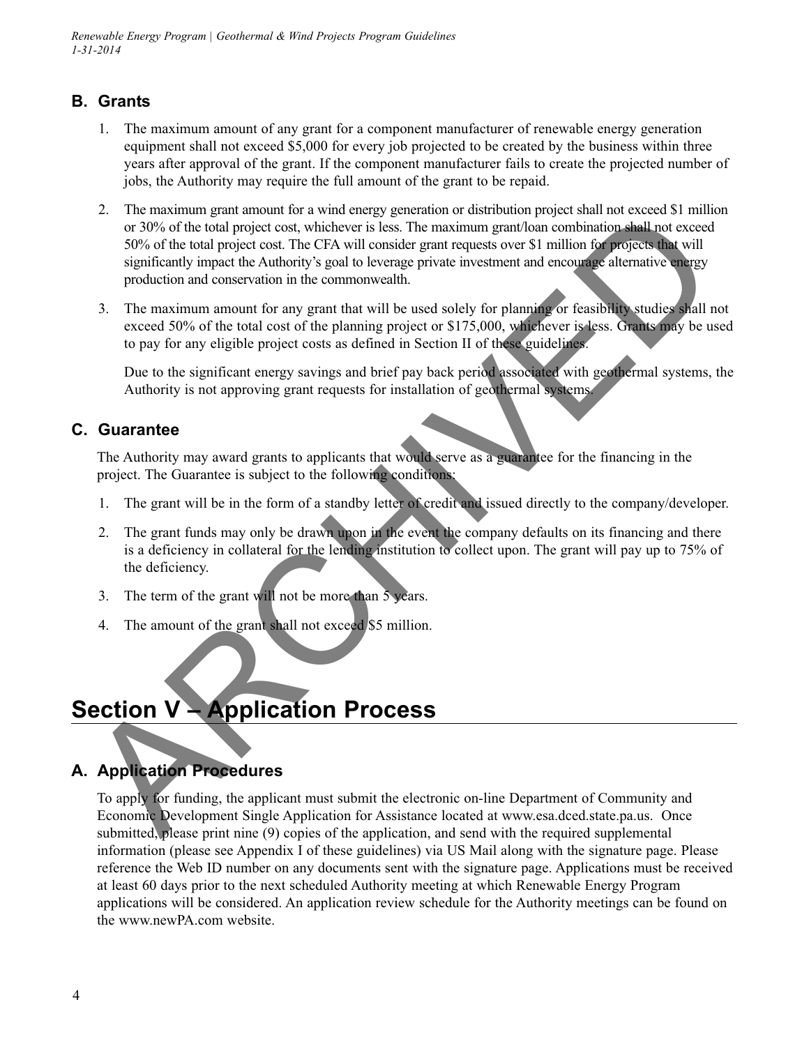*Renewable Energy Program | Geothermal & Wind Projects Program Guidelines 1-31-2014*

## **B. Grants**

- 1. The maximum amount of any grant for a component manufacturer of renewable energy generation equipment shall not exceed \$5,000 for every job projected to be created by the business within three years after approval of the grant. If the component manufacturer fails to create the projected number of jobs, the Authority may require the full amount of the grant to be repaid.
- 2. The maximum grant amount for a wind energy generation or distribution project shall not exceed \$1 million or 30% of the total project cost, whichever is less. The maximum grant/loan combination shall not exceed 50% of the total project cost. The CFA will consider grant requests over \$1 million for projects that will significantly impact the Authority's goal to leverage private investment and encourage alternative energy production and conservation in the commonwealth. 2. The maturiture particular to travel who charge generator one case of the state in the case of the state of the balt project cost. Windherer's itess. The maximum grantion construction and conserver in the control signif
	- 3. The maximum amount for any grant that will be used solely for planning or feasibility studies shall not exceed 50% of the total cost of the planning project or \$175,000, whichever is less. Grants may be used to pay for any eligible project costs as defined in Section II of these guidelines.

Due to the significant energy savings and brief pay back period associated with geothermal systems, the Authority is not approving grant requests for installation of geothermal systems.

#### **C. Guarantee**

The Authority may award grants to applicants that would serve as a guarantee for the financing in the project. The Guarantee is subject to the following conditions:

- 1. The grant will be in the form of a standby letter of credit and issued directly to the company/developer.
- 2. The grant funds may only be drawn upon in the event the company defaults on its financing and there is a deficiency in collateral for the lending institution to collect upon. The grant will pay up to 75% of the deficiency.
- 3. The term of the grant will not be more than 5 years.
- 4. The amount of the grant shall not exceed \$5 million.

# **Section V – Application Process**

## **A. Application Procedures**

To apply for funding, the applicant must submit the electronic on-line Department of Community and Economic Development Single Application for Assistance located at www.esa.dced.state.pa.us. Once submitted, please print nine (9) copies of the application, and send with the required supplemental information (please see Appendix I of these guidelines) via US Mail along with the signature page. Please reference the Web ID number on any documents sent with the signature page. Applications must be received at least 60 days prior to the next scheduled Authority meeting at which Renewable Energy Program applications will be considered. An application review schedule for the Authority meetings can be found on the www.newPA.com website.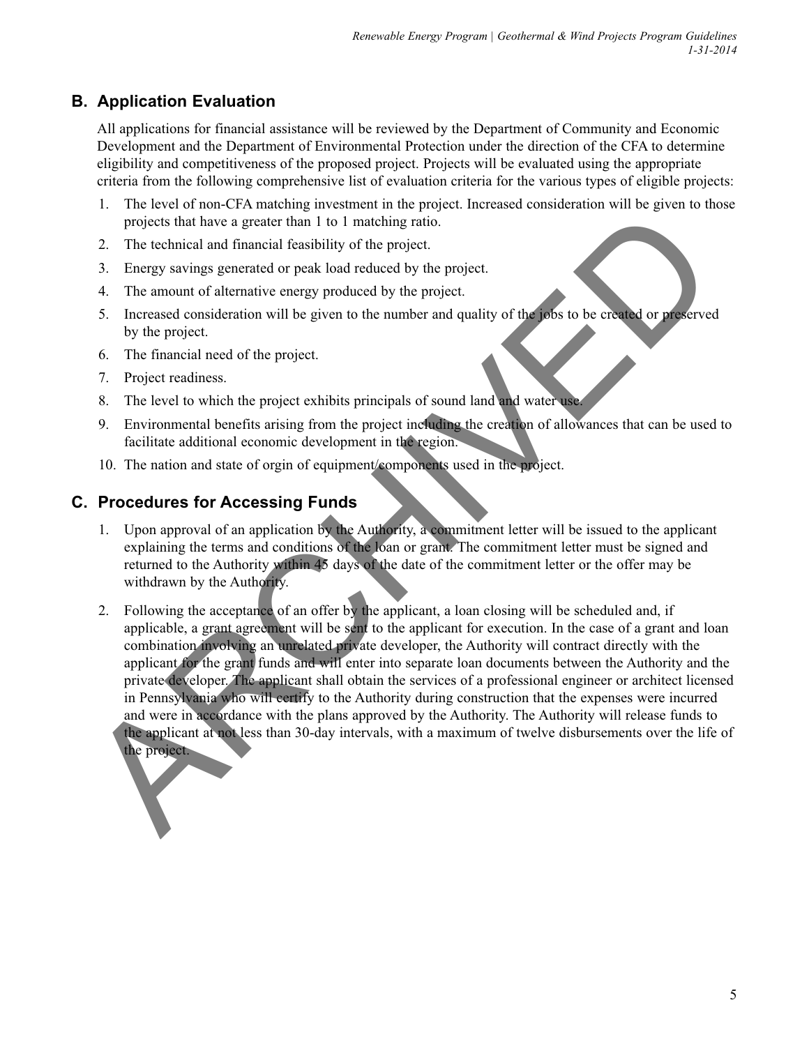## **B. Application Evaluation**

All applications for financial assistance will be reviewed by the Department of Community and Economic Development and the Department of Environmental Protection under the direction of the CFA to determine eligibility and competitiveness of the proposed project. Projects will be evaluated using the appropriate criteria from the following comprehensive list of evaluation criteria for the various types of eligible projects:

- 1. The level of non-CFA matching investment in the project. Increased consideration will be given to those projects that have a greater than 1 to 1 matching ratio.
- 2. The technical and financial feasibility of the project.
- 3. Energy savings generated or peak load reduced by the project.
- 4. The amount of alternative energy produced by the project.
- 5. Increased consideration will be given to the number and quality of the jobs to be created or preserved by the project.
- 6. The financial need of the project.
- 7. Project readiness.
- 8. The level to which the project exhibits principals of sound land and water use.
- 9. Environmental benefits arising from the project including the creation of allowances that can be used to facilitate additional economic development in the region.
- 10. The nation and state of orgin of equipment/components used in the project.

## **C. Procedures for Accessing Funds**

- 1. Upon approval of an application by the Authority, a commitment letter will be issued to the applicant explaining the terms and conditions of the loan or grant. The commitment letter must be signed and returned to the Authority within 45 days of the date of the commitment letter or the offer may be withdrawn by the Authority.
- 2. Following the acceptance of an offer by the applicant, a loan closing will be scheduled and, if applicable, a grant agreement will be sent to the applicant for execution. In the case of a grant and loan combination involving an unrelated private developer, the Authority will contract directly with the applicant for the grant funds and will enter into separate loan documents between the Authority and the private developer. The applicant shall obtain the services of a professional engineer or architect licensed in Pennsylvania who will certify to the Authority during construction that the expenses were incurred and were in accordance with the plans approved by the Authority. The Authority will release funds to the applicant at not less than 30-day intervals, with a maximum of twelve disbursements over the life of the project. projects that have a greater than 1 to 1 matching ratio.<br>
2. The technical and financial feasibility of the project.<br>
3. Energy savings generated or peak load reduced by the project.<br>
4. The amount of alternative energy pr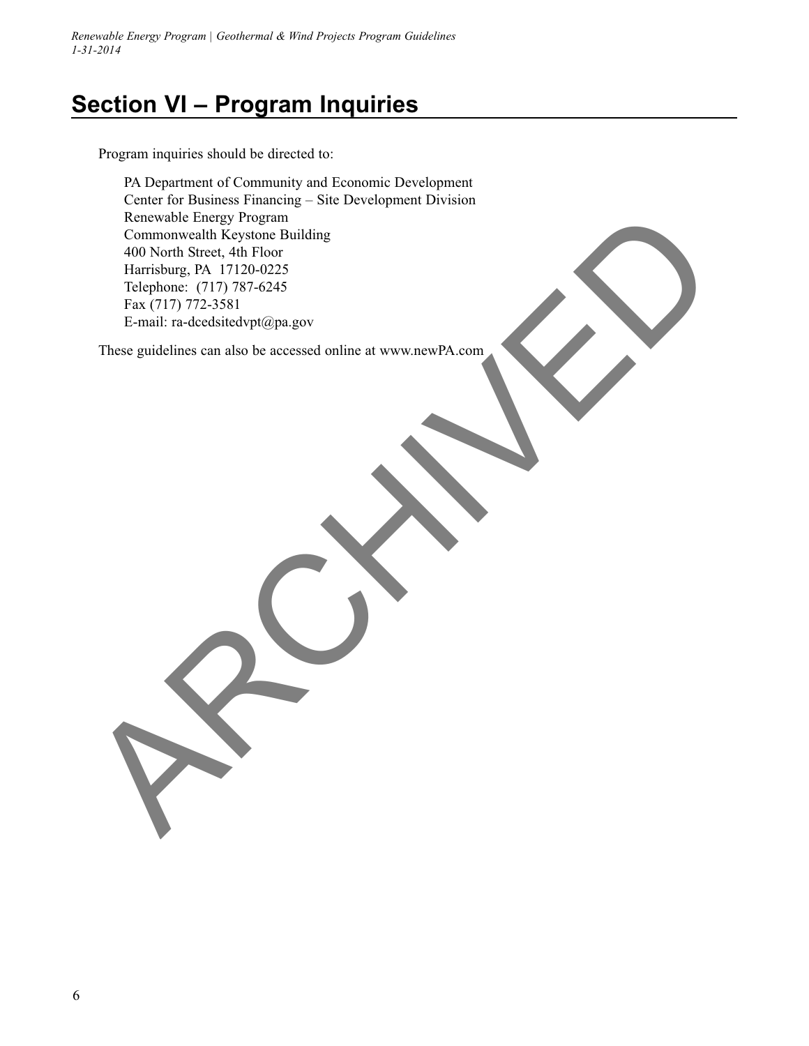*Renewable Energy Program | Geothermal & Wind Projects Program Guidelines 1-31-2014*

# **Section VI – Program Inquiries**

Program inquiries should be directed to:

PA Department of Community and Economic Development Center for Business Financing – Site Development Division Renewable Energy Program Commonwealth Keystone Building 400 North Street, 4th Floor Harrisburg, PA 17120-0225 Telephone: (717) 787-6245 Fax (717) 772-3581 E-mail: ra-dcedsitedvpt@pa.gov Remevel Frogy Program<br>Commonwealth Keystone Building<br>400 North Street, 4th F100 02<br>Harskong, PA 17120-0225<br>Telephone: (7017) 772-3181<br>E-mail: ra-electdisted prigina gov<br>These guidelines can also be accessed online at www.n

These guidelines can also be accessed online at www.newPA.com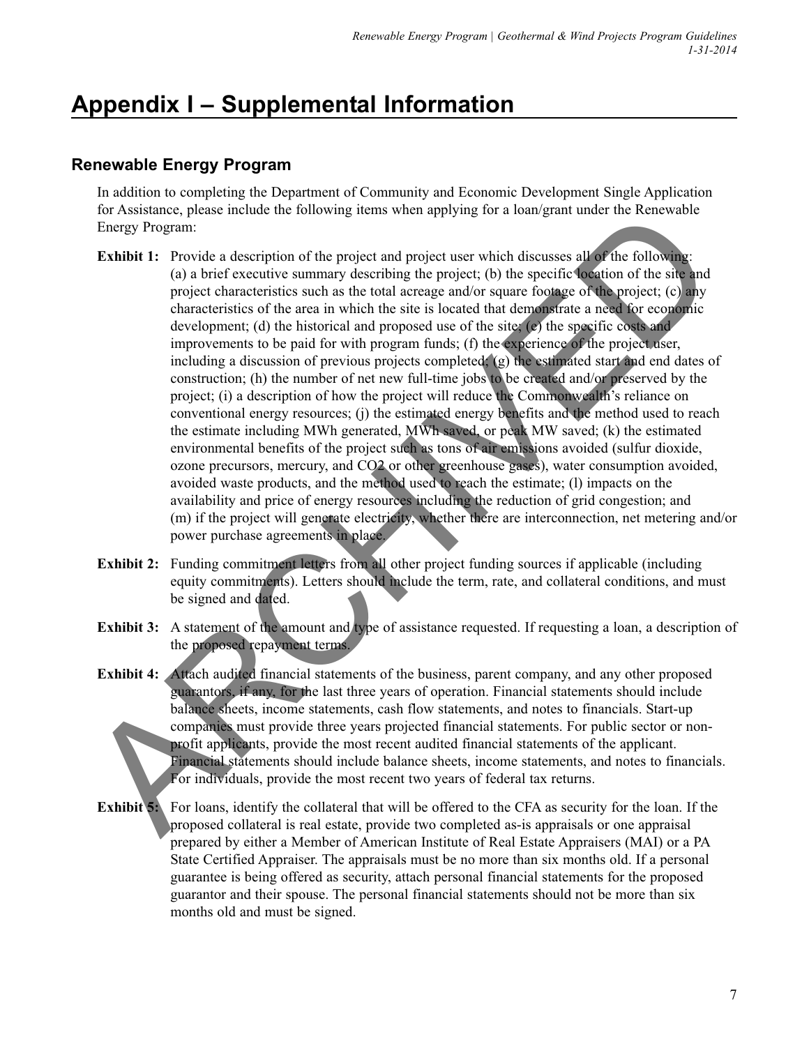# **Appendix I – Supplemental Information**

## **Renewable Energy Program**

In addition to completing the Department of Community and Economic Development Single Application for Assistance, please include the following items when applying for a loan/grant under the Renewable Energy Program:

- **Exhibit 1:** Provide a description of the project and project user which discusses all of the following: (a) a brief executive summary describing the project; (b) the specific location of the site and project characteristics such as the total acreage and/or square footage of the project; (c) any characteristics of the area in which the site is located that demonstrate a need for economic development; (d) the historical and proposed use of the site; (e) the specific costs and improvements to be paid for with program funds; (f) the experience of the project user, including a discussion of previous projects completed; (g) the estimated start and end dates of construction; (h) the number of net new full-time jobs to be created and/or preserved by the project; (i) a description of how the project will reduce the Commonwealth's reliance on conventional energy resources; (j) the estimated energy benefits and the method used to reach the estimate including MWh generated, MWh saved, or peak MW saved; (k) the estimated environmental benefits of the project such as tons of air emissions avoided (sulfur dioxide, ozone precursors, mercury, and CO2 or other greenhouse gases), water consumption avoided, avoided waste products, and the method used to reach the estimate; (l) impacts on the availability and price of energy resources including the reduction of grid congestion; and (m) if the project will generate electricity, whether there are interconnection, net metering and/or power purchase agreements in place. Framework presentation of the project and project user which discusses silks the following<br>
Engine Trogenti:<br>
Exhibit 1: Provide a description of the project and project user which discusses silks the following<br>
(a) a bri
	- **Exhibit 2:** Funding commitment letters from all other project funding sources if applicable (including equity commitments). Letters should include the term, rate, and collateral conditions, and must be signed and dated.
	- **Exhibit 3:** A statement of the amount and type of assistance requested. If requesting a loan, a description of the proposed repayment terms.
	- **Exhibit 4:** Attach audited financial statements of the business, parent company, and any other proposed guarantors, if any, for the last three years of operation. Financial statements should include balance sheets, income statements, cash flow statements, and notes to financials. Start-up companies must provide three years projected financial statements. For public sector or nonprofit applicants, provide the most recent audited financial statements of the applicant. Financial statements should include balance sheets, income statements, and notes to financials. For individuals, provide the most recent two years of federal tax returns.
	- **Exhibit 5:** For loans, identify the collateral that will be offered to the CFA as security for the loan. If the proposed collateral is real estate, provide two completed as-is appraisals or one appraisal prepared by either a Member of American Institute of Real Estate Appraisers (MAI) or a PA State Certified Appraiser. The appraisals must be no more than six months old. If a personal guarantee is being offered as security, attach personal financial statements for the proposed guarantor and their spouse. The personal financial statements should not be more than six months old and must be signed.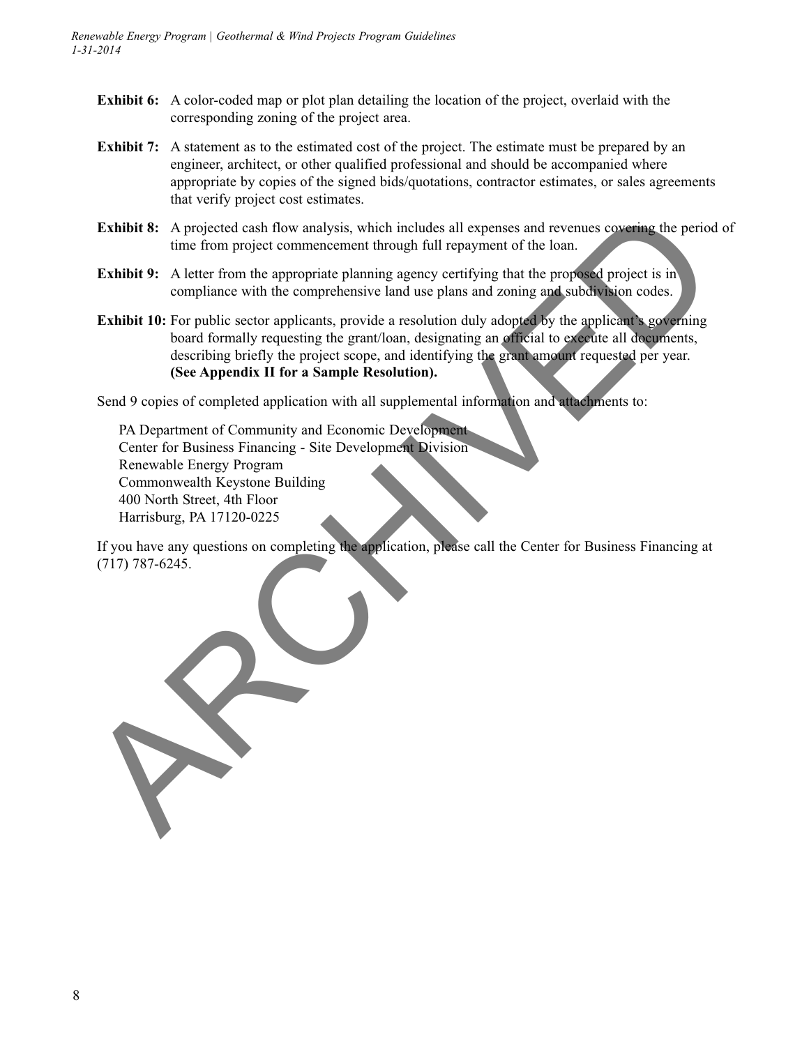- **Exhibit 6:** A color-coded map or plot plan detailing the location of the project, overlaid with the corresponding zoning of the project area.
- **Exhibit 7:** A statement as to the estimated cost of the project. The estimate must be prepared by an engineer, architect, or other qualified professional and should be accompanied where appropriate by copies of the signed bids/quotations, contractor estimates, or sales agreements that verify project cost estimates.
- **Exhibit 8:** A projected cash flow analysis, which includes all expenses and revenues covering the period of time from project commencement through full repayment of the loan.
- **Exhibit 9:** A letter from the appropriate planning agency certifying that the proposed project is in compliance with the comprehensive land use plans and zoning and subdivision codes.
- **Exhibit 10:** For public sector applicants, provide a resolution duly adopted by the applicant's governing board formally requesting the grant/loan, designating an official to execute all documents, describing briefly the project scope, and identifying the grant amount requested per year. **(See Appendix II for a Sample Resolution).**

Send 9 copies of completed application with all supplemental information and attachments to:

PA Department of Community and Economic Development Center for Business Financing - Site Development Division Renewable Energy Program Commonwealth Keystone Building 400 North Street, 4th Floor Harrisburg, PA 17120-0225

If you have any questions on completing the application, please call the Center for Business Financing at (717) 787-6245.

Exhibit 9: A projected cash flow analysis, which includes all expenses and revenues covering the period<br>time from project commencement lineuals foll repayment of the loan.<br>Exhibit 9: A letter from the appropriate planning